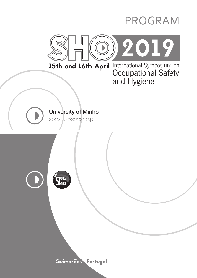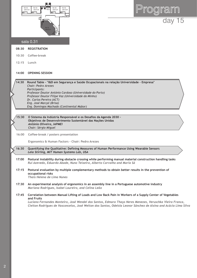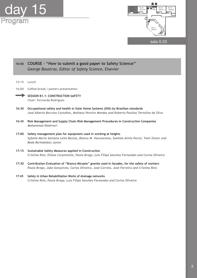



sala 0.33

| 10:00 | COURSE - "How to submit a good paper to Safety Science"<br>George Boustras, Editor of Safety Science, Elsevier              |
|-------|-----------------------------------------------------------------------------------------------------------------------------|
|       |                                                                                                                             |
| 12:15 | Lunch                                                                                                                       |
| 16:00 | Coffee-break / posters presentation                                                                                         |
|       | <b>SESSION B1.1: CONSTRUCTION SAFETY</b><br><b>Chair: Fernanda Rodrigues</b>                                                |
| 16:30 | Occupational safety and health in Solar Home Systems (SHS) by Brazilian standards                                           |
|       | José Alberto Barroso Castañon, Matheus Pereira Mendes and Roberta Paulina Tertolino da Silva                                |
| 16:45 | Risk Management and Supply Chain Risk Management Procedures in Construction Companies<br><b>Mohammad Shahriari</b>          |
| 17:00 | Safety management plan for equipment used in working at heights                                                             |
|       | Sybelle Maria Santana Leite Bastos, Bianca M. Vasconcelos, Suellem Attila Parisi, Tomi Zlatar and<br>Beda Barkokebas Junior |
| 17:15 | Sustainable Safety Measures applied in Construction                                                                         |
|       | Cristina Reis, Eliana Carpinteito, Paula Braga, Luis Filipe Sanches Fernandes and Carlos Oliveira                           |
| 17:30 | Contribution Evaluation of "Branco Micaela" granite used in facades, for the safety of workers                              |
|       | Paula Braga, João Gonçalves, Carlos Oliveira, José Correia, José Ferreira and Cristina Reis                                 |
| 17:45 | Safety in Urban Rehabilitation Works of drainage networks                                                                   |
|       | Cristina Reis, Paula Braga, Luis Filipe Sanches Fernandes and Carlos Oliveira                                               |
|       |                                                                                                                             |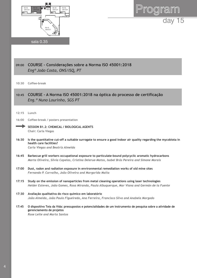| Ed. 02 | Ed. 02<br>Ed. 02<br>Ed. 02<br>sala 0.33<br>sala 0.35<br>sala 0.37<br>sala 0.39<br>Ed. 01<br>sala 0.31                                                                                               |
|--------|-----------------------------------------------------------------------------------------------------------------------------------------------------------------------------------------------------|
|        | sala 0.35                                                                                                                                                                                           |
|        |                                                                                                                                                                                                     |
| 09:00  | COURSE - Considerações sobre a Norma ISO 45001:2018<br>Eng <sup>o</sup> João Costa, ONS/ISQ, PT                                                                                                     |
| 10:30  | Coffee-break                                                                                                                                                                                        |
| 10:45  | COURSE - A Norma ISO 45001:2018 na óptica do processo de certificação<br>Eng. <sup>o</sup> Nuno Lourinho, SGS PT                                                                                    |
| 12:15  | Lunch                                                                                                                                                                                               |
| 16:00  | Coffee-break / posters presentation                                                                                                                                                                 |
|        | <b>SESSION B1.2: CHEMICAL / BIOLOGICAL AGENTS</b><br><b>Chair: Carla Viegas</b>                                                                                                                     |
| 16:30  | Is the quantitative cut-off a suitable surrogate to ensure a good indoor air quality regarding the mycobiota in<br>health care facilities?<br>Carla Viegas and Beatriz Almeida                      |
| 16:45  | Barbecue grill workers occupational exposure to particulate-bound polycyclic aromatic hydrocarbons<br>Marta Oliveira, Sílvia Capelas, Cristina Delerue-Matos, Isabel Brás Pereira and Simone Morais |
| 17:00  | Dust, radon and radiation exposure in environmental remediation works of old mine sites<br>Fernando P. Carvalho, João Oliveira and Margarida Malta                                                  |
| 17:15  | Study on the emission of nanoparticles from metal cleaning operations using laser technologies<br>Helder Esteves, João Gomes, Rosa Miranda, Paula Albuquerque, Mar Viana and Germán de la Fuente    |
| 17:30  | Avaliação qualitativa do risco químico em laboratório                                                                                                                                               |
|        | João Almeida, João Paulo Figueiredo, Ana Ferreira, Francisco Silva and Anabela Morgado                                                                                                              |
| 17:45  | O dispositivo Teia da Vida: pressupostos e potencialidades de um instrumento de pesquisa sobre a atividade de<br>gerenciamento de projetos<br>Rose Leite and Marta Santos                           |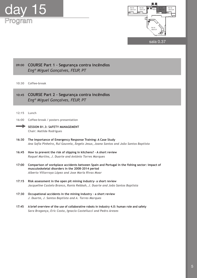



sala 0.37

# **09:00 COURSE Part 1 - Segurança contra incêndios** *Engº Miguel Gonçalves, FEUP, PT*

**10:30 Coffee-break**

# **10:45 COURSE Part 2 - Segurança contra incêndios** *Engº Miguel Gonçalves, FEUP, PT*

- **12:15 Lunch**
- **16:00 Coffee-break / posters presentation**
	- SESSION B1.3: SAFETY MANAGEMENT **Chair: Matilde Rodrigues**
- **16:30 The Importance of Emergency Response Training: A Case Study** *Ana Sofia Pinheiro, Rui Gouveia, Ângelo Jesus, Joana Santos and João Santos Baptista*
- **16:45 How to prevent the risk of slipping in kitchens? A short review** *Raquel Martins, J. Duarte and António Torres Marques*
- **17:00 Comparison of workplace accidents between Spain and Portugal in the fishing sector: impact of musculoskeletal disorders in the 2008-2014 period** *Alberto Villarroya López and Jose María Rivas Moar*
- **17:15 Risk assessment in the open pit mining industry- a short review** *Jacqueline Castelo Branco, Rania Rebbah, J. Duarte and João Santos Baptista*
- **17:30 Occupational accidents in the mining industry a short review** *J. Duarte, J. Santos Baptista and A. Torres Marques*
- **17:45 A brief overview of the use of collaborative robots in industry 4.0: human role and safety** *Sara Bragança, Eric Costa, Ignacio Castellucci and Pedro Arezes*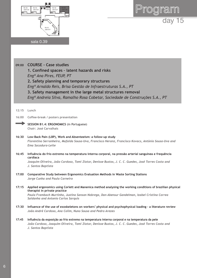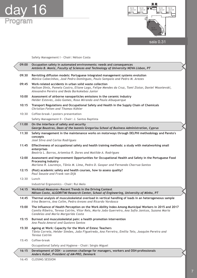



sala 0.31

 **Safety Management I - Chair: Nélson Costa**

| 09:00 | Occupation safety in automated environments: needs and consequences<br>António B. Moniz, Faculty of Sciences and Technology of University NOVA Lisbon, PT                                                                                       |
|-------|-------------------------------------------------------------------------------------------------------------------------------------------------------------------------------------------------------------------------------------------------|
| 09:30 | Revisiting diffusion models: Portuguese integrated management systems evolution<br>Mónica Cabecinhas, José Pedro Domingues, Paulo Sampaio and Pedro M. Arezes                                                                                   |
| 09:45 | Work-related accidents in urban solid waste collection<br>Nailson Diniz, Pamela Castro, Eliane Lago, Felipe Mendes da Cruz, Tomi Zlatar, Daniel Wasnievski,<br>Alexandre Pereira and Beda Barkokebas Junior                                     |
| 10:00 | Assessment of airborne nanoparticles emissions in the ceramic industry<br>Helder Esteves, João Gomes, Rosa Miranda and Paula Albuquerque                                                                                                        |
| 10:15 | Transport Regulations and Occupational Safety and Health in the Supply Chain of Chemicals<br>Christian Felten and Thomas Köhler                                                                                                                 |
| 10:30 | Coffee-break / posters presentation                                                                                                                                                                                                             |
|       | Safety Management II - Chair: J. Santos Baptista                                                                                                                                                                                                |
| 11:00 | On the interface of safety and security<br>George Boustras, Dean of the Ioannis Gregoriou School of Business Administration, Cyprus                                                                                                             |
| 11:30 | Safety management in the maintenance works on motorways through DELPHI methodology and Pareto's<br>concepts<br>José Silva and Carlos Rodrigues                                                                                                  |
| 11:45 | Effectiveness of occupational safety and health training methods: a study with metalworking small<br>enterprises<br>Beatriz L. Barros, Artemisa R. Dores and Matilde A. Rodrigues                                                               |
| 12:00 | Assessment and Improvement Opportunities for Occupational Health and Safety in the Portuguese Food<br><b>Processing Industry</b><br>Mariana R. Lourenço, Tânia M. Lima, Pedro D. Gaspar and Fernando Charrua-Santos                             |
| 12:15 | (Post) academic safety and health courses, how to assess quality?<br>Paul Swuste and Frank van Dijk                                                                                                                                             |
| 12:30 | Lunch                                                                                                                                                                                                                                           |
|       | Industrial Ergonomics - Chair: Rui Melo                                                                                                                                                                                                         |
| 14:15 | Workload Measures-Recent Trends in the Driving Context<br>Nélson Costa, ALGORITMI Research Center, School of Engineering, University of Minho, PT                                                                                               |
| 14:45 | Thermal analysis of musculoskeletal overload in vertical handling of loads in an heterogeneous sample<br>Irina Bezerra, Ana Colim, Pedro Arezes and Ricardo Vardasca                                                                            |
| 15:00 | The Influence of Health Perception on the Work Ability Index Among Municipal Workers in 2015 and 2017<br>Camila Ribeiro, Teresa Cotrim, Vitor Reis, Maria João Guerreiro, Ana Sofia Janicas, Suzana Maria<br>Candeias and Maria Margarida Costa |
| 15:15 | Burnout and musculoskeletal pain: a health promotion intervention<br>Ana Paula Amaral and Gustavo Santos                                                                                                                                        |
| 15:30 | Ageing at Work: Capacity for the Work of Estesc Teachers<br>Tânia Correia, Helder Simões, João Figueiredo, Ana Ferreira, Emília Telo, Joaquim Pereira and<br><b>Teresa Cotrim</b>                                                               |
| 15:45 | Coffee-break                                                                                                                                                                                                                                    |
|       | Occupational Safety and Hygiene - Chair: Sérgio Miguel                                                                                                                                                                                          |
| 16:15 | Development of OSH - a common challenge for managers, workers and OSH-professionals<br>Anders Kabel, President of AM-PRO, Denmark                                                                                                               |
| 16:45 | <b>CLOSING SESSION</b>                                                                                                                                                                                                                          |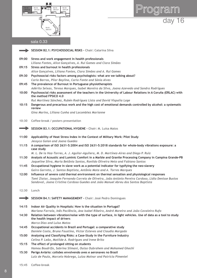

Program<br>day 16



**SESSION B2.1: PSYCHOSSOCIAL RISKS - Chair: Catarina Silva 09:00 Stress and work engagement in health professionals**  *Liliana Fontes, Alice Gonçalves, A. Rui Gomes and Clara Simães* **09:15 Stress and burnout in health professionals**  *Alice Gonçalves, Liliana Fontes, Clara Simães and A. Rui Gomes* **09:30 Psychosocial risks factors among psychologists: what are we talking about?**  *Carla Barros, Pilar Baylina, Carla Fonte and Sónia Alves* **09:45 The prevalence of Burnout in Portuguese physiotherapists**  *Adérito Seixas, Teresa Marques, Isabel Moreira da Silva, Joana Azevedo and Sandra Rodrigues* **10:00 Psychosocial risks assessment of the teachers in the University of Labour Relations in A Coruña (ERLAC) with the method FPSICO 4.0**  *Rut Martínez Sánchez, Rubén Rodríguez Lista and David Vispalia Lage* **10:15 Dangerous and precarious work and the high cost of emotional demands controlled by alcohol: a systematic review**  *Gina Marins, Liliana Cunha and Lacomblez Marianne* **10:30 Coffee-break / posters presentation SESSION B3.1: OCCUPATIONAL HYGIENE - Chair: M. Luísa Matos 11:00 Applicability of Heat Stress Index in the Context of Military Work: Pilot Study**  *Jessyca Galan and Joana Guedes* **11:15 A comparison of ISO 2631-5:2004 and ISO 2631-5:2018 standards for whole-body vibrations exposure: a case study**  *M. L. De la Hoz-Torres, A. J. Aguilar-Aguilera, M. D. Martínez-Aires and Diego P. Ruiz* **11:30 Analysis of Acoustic and Luminic Comfort in a Marble and Granite Processing Company in Campina Grande-PB**  *Jaqueline Silva, Maria Betânia Santos, Ronildo Oliveira Neto and Fabiano Santos* **11:45 Occupational hygiene in slave work as a potential indicator for typifying the neo-slavery**  *Gairo Garreto, J. Santos Baptista, Antônia Mota and A. Torres Marques* **12:00 Influence of severe cold thermal environment on thermal sensation and physiological responses**  *Tomi Zlatar, Joaquim Fernando Correia de Oliveira, João António Pereira Cardoso, Lidia Denisse Bustos Sandoval, Joana Cristina Cardoso Guedes and João Manuel Abreu dos Santos Baptista* **12:30 Lunch SESSION B4.1: SAFETY MANAGEMENT - Chair: José Pedro Domingues 14:15 Indoor Air Quality in Hospitals: How is the situation in Portugal?**  *Mariana Farraia, Inês Paciência, Ana Isabel Ribeiro, André Moreira and João Cavaleiro Rufo* **14:30 Relation between vibration/noise with the type of surface, in light vehicles. Use of data as a tool to study the health impact of drivers**  *Marco Dias and Luísa Matos* sala 0.33

- **14:45 Occupational accidents in Brazil and Portugal: a comparative study**  *Daniele Costa, Bruna Faustino, Victor Esteves and Claudia Morgado*
- **15:00 Analysing and Classifying Risks: a Case-Study in the Furniture Industry**  *Celina P. Leão, Matilde A. Rodrigues and Irene Brito*
- **15:15 The effect of prolonged sitting on students**  *Hamou Boudrifa, Sabrina Slimani, Ouiza Oubrahem and Mohamed Ghachi* **15:30 Perigo Aviário: colisões envolvendo aves e aeronaves no Brasil**  *Luiz de Paula, Marcelo Nobrega, Luiza Molnar and Patricia Pimentel*

**15:45 Coffee-break**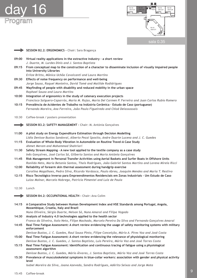



|  |  | sala 0.35′ |  |
|--|--|------------|--|

|             | SESSION B2.2: ERGONOMICS - Chair: Sara Bragança                                                                                                                                     |
|-------------|-------------------------------------------------------------------------------------------------------------------------------------------------------------------------------------|
| 09:00       | Virtual reality applications in the extractive industry - a short review<br>J. Duarte, M. Lurdes Dinis and J. Santos Baptista                                                       |
| 09:15       | From conceptual map to the construction of a character to disseminate inclusion of visually impaired people                                                                         |
|             | into University Libraries                                                                                                                                                           |
| 09:30       | Erilze Britto, Mônica Uchôa Cavalcanti and Laura Martins<br>Effects of noise frequency on performance and well-being                                                                |
|             | Jorge Sousa, Raquel Monteiro, David Tomé and Matilde Rodidrigues                                                                                                                    |
| 09:45       | Wayfinding of people with disability and reduced mobility in the urban space                                                                                                        |
|             | <b>Raphael Souza and Laura Martins</b>                                                                                                                                              |
| 10:00       | Integration of ergonomics in the study of catenary execution projects<br>Francisco Salguero-Caparrós, María M. Rojas, Maria Del Carmen P. Ferreira and Juan Carlos Rubio Romero     |
| 10:15       | Prevalência de Acidentes de Trabalho na Indústria Cerâmica - Estudo de Caso (portuguese)                                                                                            |
|             | Fernando Moreira, Ana Ferreira, João Paulo Figueiredo and Chloé Delassossais                                                                                                        |
|             |                                                                                                                                                                                     |
| 10:30       | Coffee-break / posters presentation                                                                                                                                                 |
|             | <b>SESSION B3.2: SAFETY MANAGEMENT - Chair: M. Antónia Gonçalves</b>                                                                                                                |
|             |                                                                                                                                                                                     |
| 11:00       | A pilot study on Energy Expenditure Estimation through Decision Modelling<br>Lidia Denisse Bustos Sandoval, Alberto Pezzi Sposito, Andre Duarte Lucena and J. C. Guedes             |
| 11:15       | Evaluation of Whole-Body Vibration in Automobile on Routine Travel-A Case Study                                                                                                     |
|             | Ahmet Meram and Mohammad Shahriari                                                                                                                                                  |
| 11:30       | Safety Stream Mapping - A new tool applied to the textile company as a case study                                                                                                   |
|             | Inês Gonçalves, José Carlos Sá, Gilberto Santos and Maria Antónia Gonçalves                                                                                                         |
| 11:45       | Risk Management in Personal Transfer Activities using Aerial Baskets and Surfer Boats in Offshore Units                                                                             |
| 12:00       | Ronildo Neto, Maria Betania Santos, Thais Rodrigues, João Gabriel Santos Martins and Lorena Mirela Ricci<br>Reliability of forearm skin thermal assessment during handgrip exercise |
|             | Carolina Magalhaes, Pedro Silva, Ricardo Vardasca, Paulo Abreu, Joaquim Mendes and Maria T. Restivo                                                                                 |
| 12:15       | Risco Tecnológico Inverso para Empreendimentos Residenciais em Zonas Industriais - Um Estudo de Caso                                                                                |
|             | Luiza Molnar, Marcelo Nobrega, Patricia Pimentel and Luiz de Paula                                                                                                                  |
| 12:30 Lunch |                                                                                                                                                                                     |
|             |                                                                                                                                                                                     |
|             | SESSION B4.2: OCCUPATIONAL HEALTH - Chair: Ana Colim                                                                                                                                |
| 14:15       | A Comparative Study between Human Development Index and HSE Standards among Portugal, Angola,                                                                                       |
|             | Mozambique, Croatia, Italy and Brazil                                                                                                                                               |
|             | Nuno Oliveira, Sérgio Duarte, Nelson Sá, Nuno Amaral and Filipa Vogado                                                                                                              |
| 14:30       | Analysis of Industry 4.0 technologies applied to the health sector<br>Franco da Silveira, Italo Neto, Filipe Machado, Marcelo Pereira Da Silva and Fernando Gonçalves Amaral        |
| 14:45       | Real Time Fatigue Assessment: A short review evidencing the usage of safety monitoring systems with military                                                                        |
|             | enforcement                                                                                                                                                                         |
|             | Denisse Bustos, J. C. Guedes, Raul Sousa Pinto, Filipe Conceição, Mário A. Pires Vaz and José Costa                                                                                 |
| 15:00       | Real Time Fatigue Assessment: A short review evidencing the relevance of physiological monitoring                                                                                   |
|             | Denisse Bustos, J. C. Guedes, J. Santos Baptista, Luis Pereira, Mário Vaz and José Torres Costa                                                                                     |
| 15:15       | Real Time Fatigue Assessment: Identification and continuous tracing of fatigue using a physiological<br>assessment algorithm                                                        |
|             | Denisse Bustos, J. C. Guedes, Mário Álvares, J. Santos Baptista, Mário Vaz and José Torres Costa                                                                                    |
| 15:30       | Prevalence of musculoskeletal symptoms in blue-collar workers: association with gender and physical activity<br>level                                                               |
|             | Isabel Moreira da Silva, Joana Azevedo, Sandra Rodrigues, Adérito Seixas and Jorge Mota                                                                                             |
|             |                                                                                                                                                                                     |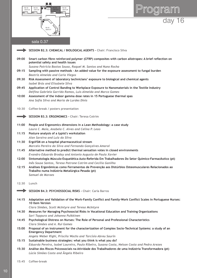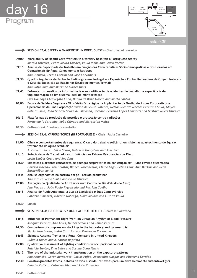





|       | SESSION B2.4: SAFETY MANAGEMENT (IN PORTUGUESE) - Chair: Isabel Loureiro                                                                                                                                                                                                                                                   |
|-------|----------------------------------------------------------------------------------------------------------------------------------------------------------------------------------------------------------------------------------------------------------------------------------------------------------------------------|
| 09:00 | Work ability of Health Care Workers in a tertiary hospital: a Portuguese reality                                                                                                                                                                                                                                           |
|       | Marcio Oliveira, Pedro Moura Guedes, Paulo Pinho and Pedro Norton                                                                                                                                                                                                                                                          |
| 09:15 | Análise da Capacidade de Trabalho em Função das Características Sócio-Demográficas e dos Horários em<br>Operacionais de Água, Saneamento e Resíduos                                                                                                                                                                        |
|       | Ana Dionísio, Teresa Cotrim and José Carvalhais                                                                                                                                                                                                                                                                            |
| 09:30 | Quadro Regulador da Proteção Radiológica em Portugal e a Exposição a Fontes Radioativas de Origem Natural -<br>o Caso da Exposição ao Radão nos Estabelecimentos Termais                                                                                                                                                   |
|       | Ana Sofia Silva and Maria de Lurdes Dinis                                                                                                                                                                                                                                                                                  |
| 09:45 | Enfrentar os desafios da informalidade e subnotificação de acidentes de trabalho: a experiência de<br>implementação de um sistema local de monitorização                                                                                                                                                                   |
|       | Luiz Gonzaga Chiavegato Filho, Danilo de Brito Garcia and Marta Santos                                                                                                                                                                                                                                                     |
| 10:00 | Escola de Saúde e Segurança VLI - Visão Estratégica na Implantação da Gestão de Riscos Corporativos e<br>Operacionais de uma Corporação Vívian de Sousa Valente, Nelson Ricardo Moraes Pereira e Silva, Glayce<br>Batista Lima, João Gabriel Souza de Miranda, Jordana Ferreira Lopes Lanziotti and Gustavo Mucci Oliveira |
| 10:15 | Plataformas de produção de petróleo e protecção contra radiações                                                                                                                                                                                                                                                           |
|       |                                                                                                                                                                                                                                                                                                                            |
|       | Fernando P. Carvalho, João Oliveira and Margarida Malta                                                                                                                                                                                                                                                                    |
| 10:30 | Coffee-break / posters presentation                                                                                                                                                                                                                                                                                        |
|       | SESSION B3.4: VARIOUS TOPICS (IN PORTUGUESE) - Chair: Paula Carneiro                                                                                                                                                                                                                                                       |
| 11:00 | Clima e comportamentos de segurança: O caso do trabalho solitário, em sistemas abastecimento de água e<br>tratamento de águas residuais                                                                                                                                                                                    |
|       | A. Oliveira Sousa, Cátia Sousa, Gabriela Gonçalves and José Zica                                                                                                                                                                                                                                                           |
| 11:15 | Rotatividade de Trabalhadores: Influência dos Fatores Psicossociais de Risco                                                                                                                                                                                                                                               |
|       | Lúcia Simões Costa and Ana Dias                                                                                                                                                                                                                                                                                            |
| 11:30 | Exposição a agentes causadores de doenças respiratórias na construção civil: uma revisão sistemática                                                                                                                                                                                                                       |
|       | Gercica Macêdo, Tomi Zlatar, Bianca Vasconcelos, Eliane Lago, Felipe Cruz, Ana Martins and Béda<br>Barkokébas Junior                                                                                                                                                                                                       |
| 11:45 | Análise ergonómica na costura em pé - Estudo preliminar                                                                                                                                                                                                                                                                    |
|       | Ana Rita Oliveira Cunha and Paulo Oliveira                                                                                                                                                                                                                                                                                 |
| 12:00 | Avaliação da Qualidade do Ar Interior num Centro de Dia (Estudo de Caso)                                                                                                                                                                                                                                                   |
|       | Ana Ferreira, João Paulo Figueiredo and Patricia Coelho                                                                                                                                                                                                                                                                    |
| 12:15 | Análise de Ruído Ambiental a Luz da Legislação e Suas Controvérsias                                                                                                                                                                                                                                                        |
|       | Patricia Pimentel, Marcelo Nobrega, Luiza Molnar and Luiz de Paula                                                                                                                                                                                                                                                         |
|       |                                                                                                                                                                                                                                                                                                                            |
| 12:30 | Lunch                                                                                                                                                                                                                                                                                                                      |
|       | SESSION B4.4: ERGONOMICS / OCCUPATIONAL HEALTH - Chair: Rui Azevedo                                                                                                                                                                                                                                                        |
| 14:15 | Influence of Permanent Night Work on Circadian Rhythm of Blood Pressure<br>Joaquim Pereira, Ana Alves, Helder Simões and Telmo Pereira                                                                                                                                                                                     |
| 14:30 | Comparison of compression stockings in the laboratory and by wear trial                                                                                                                                                                                                                                                    |
|       | Maria José Abreu, André Catarino and Franziska Enczmann                                                                                                                                                                                                                                                                    |
| 14:45 | Sickness Absence Trends in a Retail Company in United Kingdom                                                                                                                                                                                                                                                              |
|       | Cláudia Nunes and J. Santos Baptista                                                                                                                                                                                                                                                                                       |
| 15:00 | Qualitative assessment of lighting conditions in occupational context.                                                                                                                                                                                                                                                     |
|       | Patrícia Santos, Ema Leite and Susana Consciência                                                                                                                                                                                                                                                                          |
| 15:15 | The role of the industrial work transformation on the exposure patterns                                                                                                                                                                                                                                                    |
|       | Ana Assunção, Sarah Bernardes, Carlos Fujão, Jacqueline Gaspar and Filomena Carnide                                                                                                                                                                                                                                        |
| 15:30 | Constrangimentos físicos, hábitos de vida e saúde: reflexões para um envelhecimento sustentável (pt)<br>Cláudia Calixto, Catarina Silva and João Camacho                                                                                                                                                                   |
|       |                                                                                                                                                                                                                                                                                                                            |

**15:45 Coffee-break**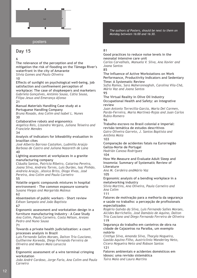

## posters

# **Day 15**

# **6**

**The relevance of the perception and of the mitigation the risk of flooding on the Tâmega River's waterfront in the city of Amarante** *Sílvia Gomes and Paulo Oliveira*

**10**

**Effects of sunlight on psychological well-being, job satisfaction and confinement perception of workplace: The case of shopkeepers and marketers** *Gabriela Gonçalves, António Sousa, Cátia Sousa, Filipa Jesus and Emerança Afonso*

**21**

**Manual Materials Handling Case study at a Portuguese Handling Company**

*Bruna Rosado, Ana Colim and Isabel L. Nunes* **30**

**Collaborative robots and ergonomics**

*Angelica Reis, Lizandra Vergara, Juliana Teixeira and Franciele Mendes*

#### **34**

**Analysis of indicators for bikeability evaluation in brazilian cites**

*José Alberto Barroso Castañon, Ludmilla Araújo Barbosa de Castro and Juliana Nazareth de Lana* **40**

**Lighting assessment at workplaces in a granite manufacturing company**

*Cláudia Santos, Patrícia Ribeiro, Catarina Pereira, Joana Silva, Andreia Torres, Luís Durães, Isac Pinhão, Andreia Araújo, Jéssica Brito, Diogo Vivas, José Pereira, Ana Colim and Paula Carneiro* **55**

**Volatile organic compounds mixtures in hospital environment – The common exposure scenario** *Susana Viegas and Margarida Mateus*

**62**

**Absenteeism of public workers – Short review** *Edison Sampaio and João Baptista*

**67**

**Ergonomic assessment and workstation design in a furniture manufacturing industry - A Case Study** *Ana Colim, Paula Carneiro, Costa Nélson, Arezes Pedro and Nuno Sousa*

**71**

**Towards a private health judicialization: a court processes analysis in Brazil**

*Luis Fernando Salles Moraes, Dalton Tria Cusciano, Guilherme Koreeda, Diego Fernando Ferreira de Oliveira and Mauro Maia Laruccia* **80**

**Ergonomic assessment of a wire terminal crimping workstation**

*João André Cardoso, Jorge Faria, Ana Colim and Paula Carneiro*

*The authors of Posters, should be next to them on Monday between 16:00 and 16:30.*

# **81**

**Good practices to reduce noise levels in the neonatal intensive care unit** *Carlos Carvalhais, Manuela V. Silva, Ana Xavier and Joana Santos* **85 The Influence of Active Workstations on Work Performance, Productivity Indicators and Sedentary Time: A Systematic Review** *Sofia Ramos, Sara Maheronnaghsh, Carolina Vila-Chã, Mário Vaz and Joana Santos* **95 The Virtual Reality in Olive Oil Industry Occupational Health and Safety: an integrative review** *Juan Antonio Torrecilla-García, Maria Del Carmen, Pardo-Ferreira, Maria Martínez-Rojas and Juan Carlos Rubio-Romero* **96 Trabalho escravo no Brasil colonial e imperial: revisão temática de estudos descritivos** *Gairo Oliveira Garreto, J. Santos Baptista and Antônia Mota* **103 Comparação de acidentes fatais na Eurorregião Galiza-Norte de Portugal** *Hadrián Canosa Rodriguez* **104 How We Measure and Evaluate Adult Sleep and Insomnia: Summary of Systematic Review of Literature** *Ana M. Cerdeira andMário Vaz* **105 Ergonomic analysis of a bending workplace in a metalworking industry** *Sílvia Martins, Ana Oliveira, Paula Carneiro and Ana Colim* **111 Fatores de motivação para a melhoria da segurança e saúde no trabalho: a percepção de profissionais especializados** *Rogério Galvão da Silva, Luis Fernando Salles Moraes, Alcides Barrichello, José Damásio de Aquino, Dalton Tria Cusciano and Diego Fernando Ferreira de Oliveira* **119 Segurança do trabalho em canteiros de obra na cidade de Cajazeiras na Paraíba, um exemplo notório** *Cinthya Silva, Amanda Silva, Thacyla Nogueira, Gastão Aquino Filho, Austriclinio Wanderley Neto, Cicero Nogueira Neto and Robson Santos* **121 Fatores ambientais e acidentes domésticos em** 

**idosos: uma revisão sistemática** *Tuíra Maia and Laura Martins*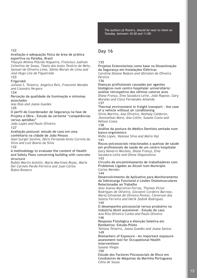*The authors of Posters, should be next to them on Tuesday between 10:30 and 11:00.*

# **Day 16**

## **135**

**Projetos Extensionista como base na Disseminação da Segurança em Instalações Elétricas** *Caroline Daiane Raduns and Ubiratan de Oliveira Pereira*

**136**

**Doenças profissionais causadas por agentes biológicos num centro hospitalar universitário: análise retrospetiva dos últimos catorze anos** *Diana França, Ema Sacadura Leite, João Raposo, Gary Morales and Clara Fernandes-Almeida* **137**

**Thermal environment in freight transport – the case of a vehicle without air conditioning**

*Sílvia Martins, Ana Oliveira, Nathaly Calderon, Jhonnathan Mora, Ana Colim, Susana Costa and Nélson Costa* **138**

**Análise da postura do Médico Dentista sentado num banco ergonómico**

*Nídia Lopes, Vanessa Silva and Mário Vaz* **141**

**Riscos psicossociais relacionados a queixas de saúde em profissionais de saúde de um centro hospitalar** *Gary Navarro Morales, Diana França, Ema Sacadura-Leite and Olena Shapovalova* **143**

**Circuito de encaminhamento de trabalhadores com Problemas Ligados ao Álcool num Município** *Carlos Mendes*

**144**

**Desenvolvimento de Aplicativo para Monitoramento da Sobrecarga Funcional e Lesões Osteomusculares Relacionadas ao Trabalho**

*Alex Soares Marreiros Ferraz, Thomas Victor Rodrigues de Oliveira, Giovanni Cordeiro Barroso, Maria Gilvanise de Oliveira Pontes, Cleverson dos Santos Ferreira and Herik Zednik Rodrigues* **145**

**O desempenho psicossocial versus produtivo na indústria têxtil automóvel – Estudo de caso** *Ana Rita Oliveira Cunha and Paulo Oliveira* **146**

**Resposta Fisiológica e Atenção Seletiva em Bombeiros: Estudo-Piloto**

*Tatiana Teixeira, Joana Guedes and Joana Santos* **149**

**Biomarkers of Exposure - An important exposure assessment tool for Occupational Health interventions**

*Susana Viegas* **150**

**Estudo dos Factores Psicossociais de Risco em Condutores de Máquinas da Marinha Portuguesa** *Célia de Sousa*

**122**

#### **Avaliação e adequação física de área de prática esportiva na Paraíba, Brasil**

*Thacyla Milena Plácido Nogueira, Francisco Judivan Celestino de Sousa, Tássia dos Anjos Tenório de Melo, Samuel de Oliveira Lima, Sâmia Morais de Lima and José Hugo Lins de Figueiredo*

**123**

## **Frigorobô**

*Juliana S. Teixeira, Angelica Reis, Franciele Mendes and Lizandra Vergara*

**124**

**Perceção da qualidade da iluminação e sintomas associados**

*Ana Dias and Joana Guedes*

**125**

**O perfil do Coordenador de Segurança na fase de Projeto e Obra – Estudo da vertente "competências versus aptidões"**

*João Lopes and Paulo Oliveira* **127**

**Avaliação postural: estudo de caso em uma confeitaria na cidade de João Pessoa** *Alan Gurgel Saraiva, Dóris Fernanda Alves Correia da Silva and Luiz Bueno da Silva*

**132**

**A methodology to evaluate the content of Health and Safety Plans concerning building with concrete structure**

*Rubén Martín Antolin, María Martínez-Rojas, María Del Carmen Pardo-Ferreira and Juan Carlos Rubio-Romero*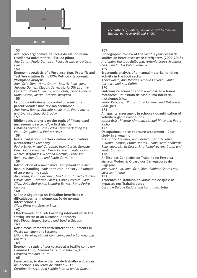

### posters

### **153**

**Avaliação ergonómica de locais de estudo numa residência universitária – Estudo piloto** *Ana Colim, Paula Carneiro, Pedro Arezes and Nélson Costa*

**154**

#### **Ergonomic Analysis of a Fuse Insertion, Press-fit and Test Workstation Using EWA Method - Ergonomic Workplace Analysis**

*Ana Lúcia Silva, Nuno Sobral, Beatriz Rodrigues, Adriana Gomez, Cláudia Serra, Maria Oliveira, Ivo Pinheiro, Paula Carneiro, Ana Colim, Tiago Pacheco Nuno Bastos, Maria Catarina Mesquita* **155**

**Estudo da influência do conforto térmico na produtividade: uma revisão preliminar**

*Ana Maria Bueno, Antonio Augusto de Paula Xavier and Evandro Eduardo Broday*

### **157**

**Bibliometric analysis on the topic of "integrated management systems": A first glance**

*Catarina Saraiva, José Pedro Teixeira Domingues, Paulo Sampaio and Pedro Arezes* **158**

#### **Noise Evaluation in a Workstation of a Furniture Manufacturer Company**

*Pedro Silva, Miguel Carvalho, Hugo Costa, Gonçalo Dias, João Fernandes, Maria Ferraro, Beatriz Lima Mónica Magalhães, Mariana Martins, Francisco Ramires, Ana Colim and Paula Carneiro* **159**

**Introduction of a mechanical equipment to assist manual handling loads in textile industry - Example of an ergonomic study**

*Ana Sousa, Paula Carneiro, Ana Colim, Alberto Bumba Carlos Silva, Catarina Barros, Costa Ferreira, João Silva, João Rodrigues, Leandro Barretiri and Pedro Campos*

#### **160**

**Saúde e Segurança no Trabalho: benefícios e dificuldades na implementação de normas internacionais**

*Silvia Pinto and Renato Boarin*

#### **162**

**Effectiveness of a Job Coaching intervention in the sewing sector of an automobile industry**

*Inês Diogo, Susana Barata and Sandra Gagulic* **163**

**Noise measurements with different equipments in Waste Management Systems**

*Liliana Pereira, Miguel Corticeiro, Pedro Carrana and Rui Pais* **164**

**Ergonomic study of workplaces at a textile company** *Casimira Lima, Andreia Leite, Ana Ribeiro, Paula Carneiro and Ana Colim*

#### **165 Caracterização dos acidentes de trabalho e doenças ocupacionais no Brasil de 2009 a 2015**

*Carolina Garreto, Ana Sophia Rosado and J. Duarte*

*The authors of Posters, should be next to them on Tuesday between 10:30 and 11:00.*

## **167**

**Bibliographic review of the last 10 year-research studies on heart diseases in firefighters (2009-2018)** *Alejandro Hurtado Balbuena, Antonio Lopez Arquillos and Juan Carlos Rubio Romero* **169**

**Ergonomic analysis of a manual material handling activity in the food sector**

*André Roriz, Ana Mendes, Amélia Peixoto, Paula Carneiro and Ana Colim* **170**

**Sintomas relacionados com a exposição a fumos metálicos: Um estudo de caso numa indústria metalomecânica**

*Pedro Reis, Egar Pinto, Tânia Ferreira and Matilde A. Rodrigues*

**171**

**Air quality assessment in schools – quantification of volatile organic compounds**

*Isabel Brás, Ricardo Almeida, Manuel Pinto and Paulo Pinho* **172**

**Occupational noise exposure assessment – Case study in a weaving**

*Alexandre Azevedo, Ana Pereira, Cátia Teixeira, Cláudia Campos, Filipe Dantas, Joana Silva, Leonardo Rodrigues, Marta Costa, Rita Pinheiro, Ana Colim and Paula Carneiro* **178**

**Análise das Condições de Trabalho no Porto da Manaus Moderna: O caso dos Carregadores de Bagagens**

*Jaquelne Silva, Ana Lúcia Silva, Fabiano Santos and Larissa Almeida*

**181**

**Acidentes de Trabalho no Município de Ijuí e os Impactos nos Trabalhadores** *Caroline Daiane Raduns and Camila Mastella*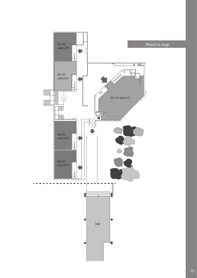